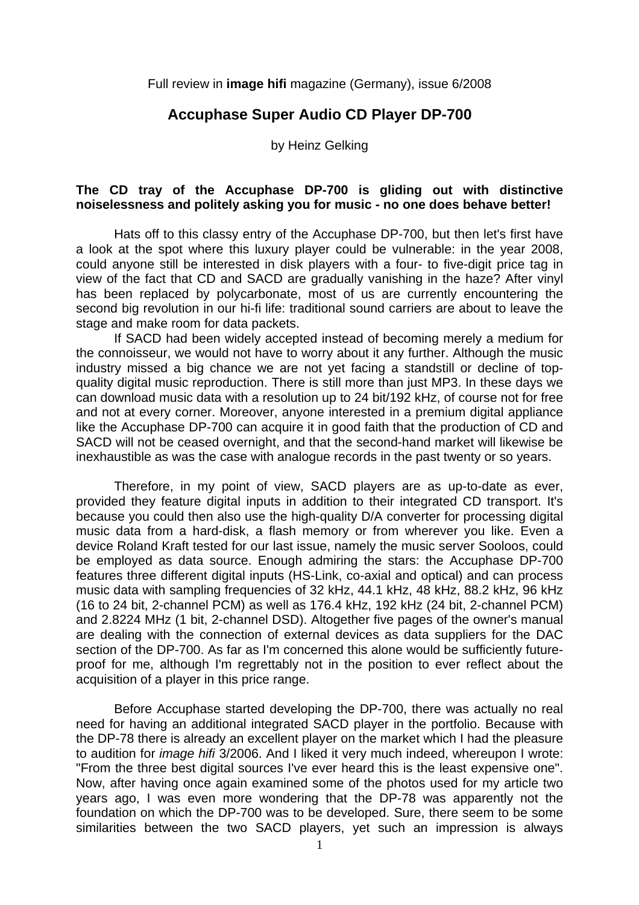Full review in **image hifi** magazine (Germany), issue 6/2008

## **Accuphase Super Audio CD Player DP-700**

by Heinz Gelking

## **The CD tray of the Accuphase DP-700 is gliding out with distinctive noiselessness and politely asking you for music - no one does behave better!**

 Hats off to this classy entry of the Accuphase DP-700, but then let's first have a look at the spot where this luxury player could be vulnerable: in the year 2008, could anyone still be interested in disk players with a four- to five-digit price tag in view of the fact that CD and SACD are gradually vanishing in the haze? After vinyl has been replaced by polycarbonate, most of us are currently encountering the second big revolution in our hi-fi life: traditional sound carriers are about to leave the stage and make room for data packets.

 If SACD had been widely accepted instead of becoming merely a medium for the connoisseur, we would not have to worry about it any further. Although the music industry missed a big chance we are not yet facing a standstill or decline of topquality digital music reproduction. There is still more than just MP3. In these days we can download music data with a resolution up to 24 bit/192 kHz, of course not for free and not at every corner. Moreover, anyone interested in a premium digital appliance like the Accuphase DP-700 can acquire it in good faith that the production of CD and SACD will not be ceased overnight, and that the second-hand market will likewise be inexhaustible as was the case with analogue records in the past twenty or so years.

 Therefore, in my point of view, SACD players are as up-to-date as ever, provided they feature digital inputs in addition to their integrated CD transport. It's because you could then also use the high-quality D/A converter for processing digital music data from a hard-disk, a flash memory or from wherever you like. Even a device Roland Kraft tested for our last issue, namely the music server Sooloos, could be employed as data source. Enough admiring the stars: the Accuphase DP-700 features three different digital inputs (HS-Link, co-axial and optical) and can process music data with sampling frequencies of 32 kHz, 44.1 kHz, 48 kHz, 88.2 kHz, 96 kHz (16 to 24 bit, 2-channel PCM) as well as 176.4 kHz, 192 kHz (24 bit, 2-channel PCM) and 2.8224 MHz (1 bit, 2-channel DSD). Altogether five pages of the owner's manual are dealing with the connection of external devices as data suppliers for the DAC section of the DP-700. As far as I'm concerned this alone would be sufficiently futureproof for me, although I'm regrettably not in the position to ever reflect about the acquisition of a player in this price range.

 Before Accuphase started developing the DP-700, there was actually no real need for having an additional integrated SACD player in the portfolio. Because with the DP-78 there is already an excellent player on the market which I had the pleasure to audition for *image hifi* 3/2006. And I liked it very much indeed, whereupon I wrote: "From the three best digital sources I've ever heard this is the least expensive one". Now, after having once again examined some of the photos used for my article two years ago, I was even more wondering that the DP-78 was apparently not the foundation on which the DP-700 was to be developed. Sure, there seem to be some similarities between the two SACD players, yet such an impression is always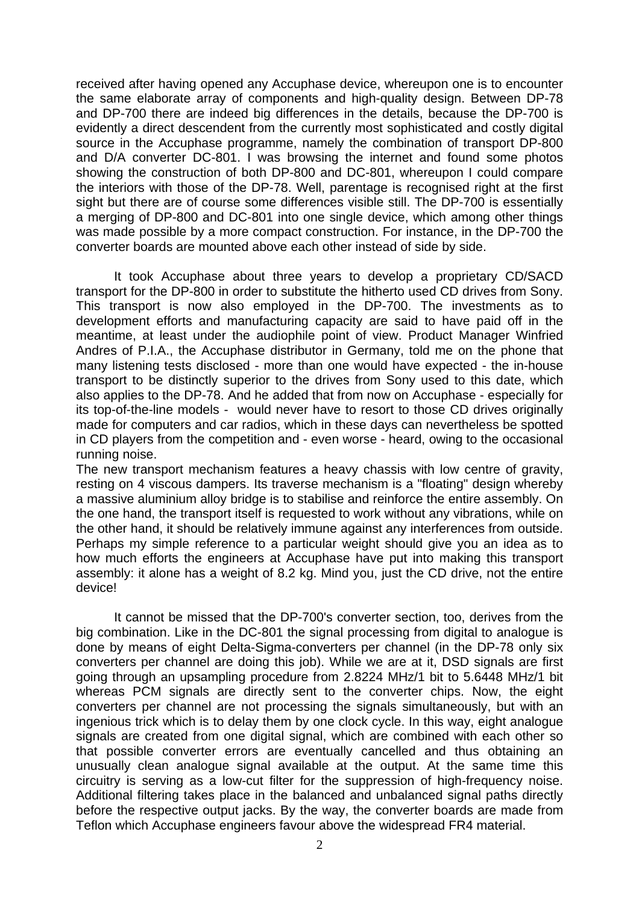received after having opened any Accuphase device, whereupon one is to encounter the same elaborate array of components and high-quality design. Between DP-78 and DP-700 there are indeed big differences in the details, because the DP-700 is evidently a direct descendent from the currently most sophisticated and costly digital source in the Accuphase programme, namely the combination of transport DP-800 and D/A converter DC-801. I was browsing the internet and found some photos showing the construction of both DP-800 and DC-801, whereupon I could compare the interiors with those of the DP-78. Well, parentage is recognised right at the first sight but there are of course some differences visible still. The DP-700 is essentially a merging of DP-800 and DC-801 into one single device, which among other things was made possible by a more compact construction. For instance, in the DP-700 the converter boards are mounted above each other instead of side by side.

 It took Accuphase about three years to develop a proprietary CD/SACD transport for the DP-800 in order to substitute the hitherto used CD drives from Sony. This transport is now also employed in the DP-700. The investments as to development efforts and manufacturing capacity are said to have paid off in the meantime, at least under the audiophile point of view. Product Manager Winfried Andres of P.I.A., the Accuphase distributor in Germany, told me on the phone that many listening tests disclosed - more than one would have expected - the in-house transport to be distinctly superior to the drives from Sony used to this date, which also applies to the DP-78. And he added that from now on Accuphase - especially for its top-of-the-line models - would never have to resort to those CD drives originally made for computers and car radios, which in these days can nevertheless be spotted in CD players from the competition and - even worse - heard, owing to the occasional running noise.

The new transport mechanism features a heavy chassis with low centre of gravity, resting on 4 viscous dampers. Its traverse mechanism is a "floating" design whereby a massive aluminium alloy bridge is to stabilise and reinforce the entire assembly. On the one hand, the transport itself is requested to work without any vibrations, while on the other hand, it should be relatively immune against any interferences from outside. Perhaps my simple reference to a particular weight should give you an idea as to how much efforts the engineers at Accuphase have put into making this transport assembly: it alone has a weight of 8.2 kg. Mind you, just the CD drive, not the entire device!

 It cannot be missed that the DP-700's converter section, too, derives from the big combination. Like in the DC-801 the signal processing from digital to analogue is done by means of eight Delta-Sigma-converters per channel (in the DP-78 only six converters per channel are doing this job). While we are at it, DSD signals are first going through an upsampling procedure from 2.8224 MHz/1 bit to 5.6448 MHz/1 bit whereas PCM signals are directly sent to the converter chips. Now, the eight converters per channel are not processing the signals simultaneously, but with an ingenious trick which is to delay them by one clock cycle. In this way, eight analogue signals are created from one digital signal, which are combined with each other so that possible converter errors are eventually cancelled and thus obtaining an unusually clean analogue signal available at the output. At the same time this circuitry is serving as a low-cut filter for the suppression of high-frequency noise. Additional filtering takes place in the balanced and unbalanced signal paths directly before the respective output jacks. By the way, the converter boards are made from Teflon which Accuphase engineers favour above the widespread FR4 material.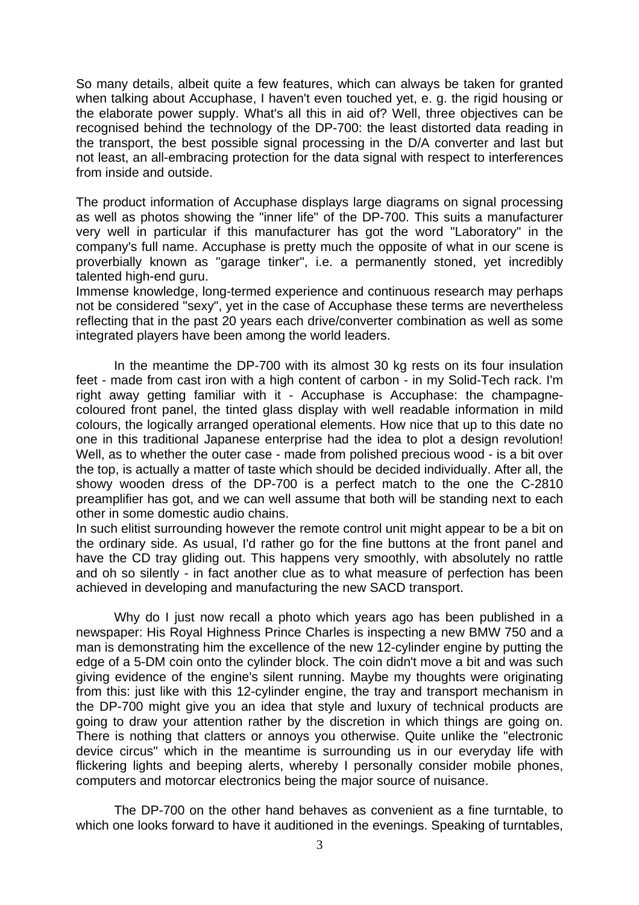So many details, albeit quite a few features, which can always be taken for granted when talking about Accuphase, I haven't even touched yet, e. g. the rigid housing or the elaborate power supply. What's all this in aid of? Well, three objectives can be recognised behind the technology of the DP-700: the least distorted data reading in the transport, the best possible signal processing in the D/A converter and last but not least, an all-embracing protection for the data signal with respect to interferences from inside and outside.

The product information of Accuphase displays large diagrams on signal processing as well as photos showing the "inner life" of the DP-700. This suits a manufacturer very well in particular if this manufacturer has got the word "Laboratory" in the company's full name. Accuphase is pretty much the opposite of what in our scene is proverbially known as "garage tinker", i.e. a permanently stoned, yet incredibly talented high-end guru.

Immense knowledge, long-termed experience and continuous research may perhaps not be considered "sexy", yet in the case of Accuphase these terms are nevertheless reflecting that in the past 20 years each drive/converter combination as well as some integrated players have been among the world leaders.

 In the meantime the DP-700 with its almost 30 kg rests on its four insulation feet - made from cast iron with a high content of carbon - in my Solid-Tech rack. I'm right away getting familiar with it - Accuphase is Accuphase: the champagnecoloured front panel, the tinted glass display with well readable information in mild colours, the logically arranged operational elements. How nice that up to this date no one in this traditional Japanese enterprise had the idea to plot a design revolution! Well, as to whether the outer case - made from polished precious wood - is a bit over the top, is actually a matter of taste which should be decided individually. After all, the showy wooden dress of the DP-700 is a perfect match to the one the C-2810 preamplifier has got, and we can well assume that both will be standing next to each other in some domestic audio chains.

In such elitist surrounding however the remote control unit might appear to be a bit on the ordinary side. As usual, I'd rather go for the fine buttons at the front panel and have the CD tray gliding out. This happens very smoothly, with absolutely no rattle and oh so silently - in fact another clue as to what measure of perfection has been achieved in developing and manufacturing the new SACD transport.

Why do I just now recall a photo which years ago has been published in a newspaper: His Royal Highness Prince Charles is inspecting a new BMW 750 and a man is demonstrating him the excellence of the new 12-cylinder engine by putting the edge of a 5-DM coin onto the cylinder block. The coin didn't move a bit and was such giving evidence of the engine's silent running. Maybe my thoughts were originating from this: just like with this 12-cylinder engine, the tray and transport mechanism in the DP-700 might give you an idea that style and luxury of technical products are going to draw your attention rather by the discretion in which things are going on. There is nothing that clatters or annoys you otherwise. Quite unlike the "electronic device circus" which in the meantime is surrounding us in our everyday life with flickering lights and beeping alerts, whereby I personally consider mobile phones, computers and motorcar electronics being the major source of nuisance.

 The DP-700 on the other hand behaves as convenient as a fine turntable, to which one looks forward to have it auditioned in the evenings. Speaking of turntables,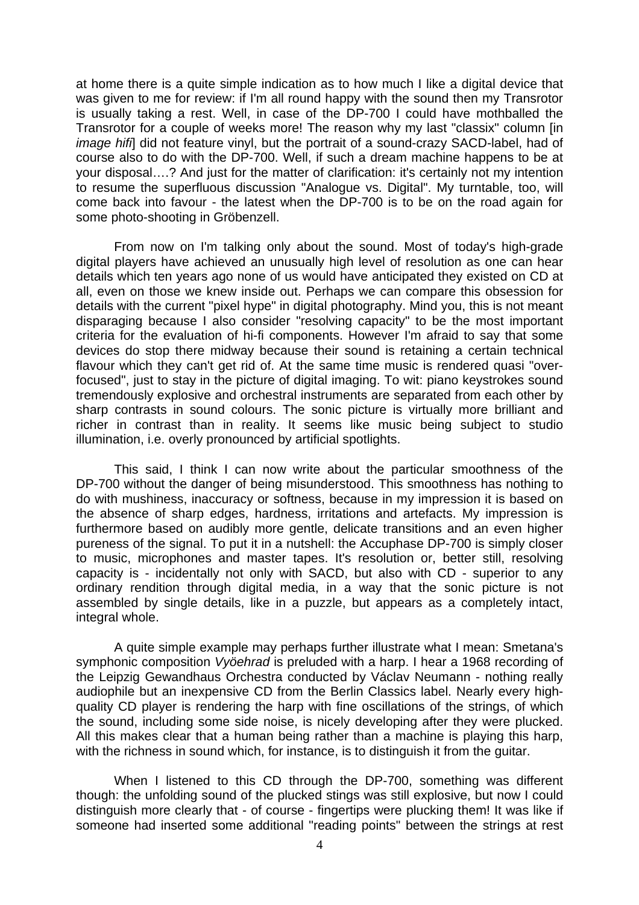at home there is a quite simple indication as to how much I like a digital device that was given to me for review: if I'm all round happy with the sound then my Transrotor is usually taking a rest. Well, in case of the DP-700 I could have mothballed the Transrotor for a couple of weeks more! The reason why my last "classix" column [in *image hifi*] did not feature vinyl, but the portrait of a sound-crazy SACD-label, had of course also to do with the DP-700. Well, if such a dream machine happens to be at your disposal….? And just for the matter of clarification: it's certainly not my intention to resume the superfluous discussion "Analogue vs. Digital". My turntable, too, will come back into favour - the latest when the DP-700 is to be on the road again for some photo-shooting in Gröbenzell.

 From now on I'm talking only about the sound. Most of today's high-grade digital players have achieved an unusually high level of resolution as one can hear details which ten years ago none of us would have anticipated they existed on CD at all, even on those we knew inside out. Perhaps we can compare this obsession for details with the current "pixel hype" in digital photography. Mind you, this is not meant disparaging because I also consider "resolving capacity" to be the most important criteria for the evaluation of hi-fi components. However I'm afraid to say that some devices do stop there midway because their sound is retaining a certain technical flavour which they can't get rid of. At the same time music is rendered quasi "overfocused", just to stay in the picture of digital imaging. To wit: piano keystrokes sound tremendously explosive and orchestral instruments are separated from each other by sharp contrasts in sound colours. The sonic picture is virtually more brilliant and richer in contrast than in reality. It seems like music being subject to studio illumination, i.e. overly pronounced by artificial spotlights.

 This said, I think I can now write about the particular smoothness of the DP-700 without the danger of being misunderstood. This smoothness has nothing to do with mushiness, inaccuracy or softness, because in my impression it is based on the absence of sharp edges, hardness, irritations and artefacts. My impression is furthermore based on audibly more gentle, delicate transitions and an even higher pureness of the signal. To put it in a nutshell: the Accuphase DP-700 is simply closer to music, microphones and master tapes. It's resolution or, better still, resolving capacity is - incidentally not only with SACD, but also with CD - superior to any ordinary rendition through digital media, in a way that the sonic picture is not assembled by single details, like in a puzzle, but appears as a completely intact, integral whole.

 A quite simple example may perhaps further illustrate what I mean: Smetana's symphonic composition *Vyöehrad* is preluded with a harp. I hear a 1968 recording of the Leipzig Gewandhaus Orchestra conducted by Václav Neumann - nothing really audiophile but an inexpensive CD from the Berlin Classics label. Nearly every highquality CD player is rendering the harp with fine oscillations of the strings, of which the sound, including some side noise, is nicely developing after they were plucked. All this makes clear that a human being rather than a machine is playing this harp, with the richness in sound which, for instance, is to distinguish it from the quitar.

When I listened to this CD through the DP-700, something was different though: the unfolding sound of the plucked stings was still explosive, but now I could distinguish more clearly that - of course - fingertips were plucking them! It was like if someone had inserted some additional "reading points" between the strings at rest